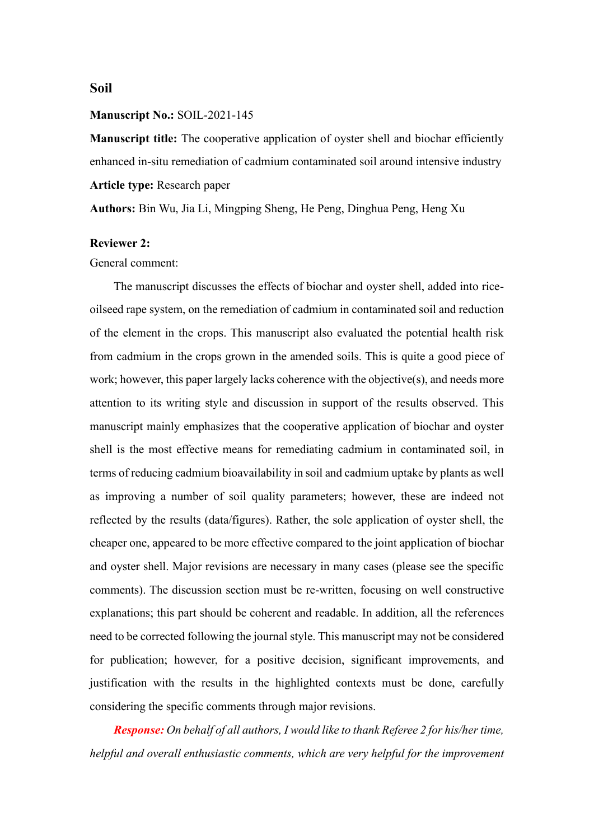# **Soil**

#### **Manuscript No.:** SOIL-2021-145

**Manuscript title:** The cooperative application of oyster shell and biochar efficiently enhanced in-situ remediation of cadmium contaminated soil around intensive industry **Article type:** Research paper

**Authors:** Bin Wu, Jia Li, Mingping Sheng, He Peng, Dinghua Peng, Heng Xu

### **Reviewer 2:**

General comment:

The manuscript discusses the effects of biochar and oyster shell, added into riceoilseed rape system, on the remediation of cadmium in contaminated soil and reduction of the element in the crops. This manuscript also evaluated the potential health risk from cadmium in the crops grown in the amended soils. This is quite a good piece of work; however, this paper largely lacks coherence with the objective(s), and needs more attention to its writing style and discussion in support of the results observed. This manuscript mainly emphasizes that the cooperative application of biochar and oyster shell is the most effective means for remediating cadmium in contaminated soil, in terms of reducing cadmium bioavailability in soil and cadmium uptake by plants as well as improving a number of soil quality parameters; however, these are indeed not reflected by the results (data/figures). Rather, the sole application of oyster shell, the cheaper one, appeared to be more effective compared to the joint application of biochar and oyster shell. Major revisions are necessary in many cases (please see the specific comments). The discussion section must be re-written, focusing on well constructive explanations; this part should be coherent and readable. In addition, all the references need to be corrected following the journal style. This manuscript may not be considered for publication; however, for a positive decision, significant improvements, and justification with the results in the highlighted contexts must be done, carefully considering the specific comments through major revisions.

*Response: On behalf of all authors, I would like to thank Referee 2 for his/her time, helpful and overall enthusiastic comments, which are very helpful for the improvement*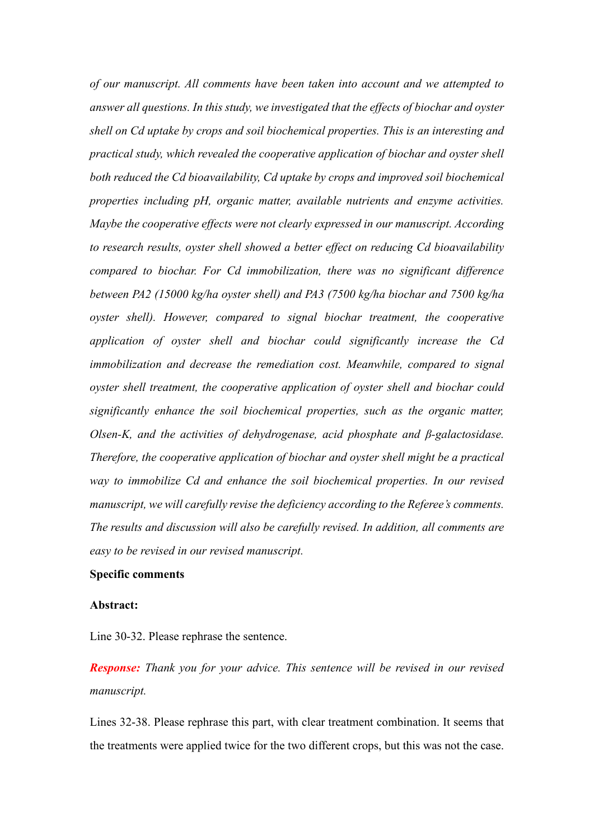*of our manuscript. All comments have been taken into account and we attempted to answer all questions. In this study, we investigated that the effects of biochar and oyster shell on Cd uptake by crops and soil biochemical properties. This is an interesting and practical study, which revealed the cooperative application of biochar and oyster shell both reduced the Cd bioavailability, Cd uptake by crops and improved soil biochemical properties including pH, organic matter, available nutrients and enzyme activities. Maybe the cooperative effects were not clearly expressed in our manuscript. According to research results, oyster shell showed a better effect on reducing Cd bioavailability compared to biochar. For Cd immobilization, there was no significant difference between PA2 (15000 kg/ha oyster shell) and PA3 (7500 kg/ha biochar and 7500 kg/ha oyster shell). However, compared to signal biochar treatment, the cooperative application of oyster shell and biochar could significantly increase the Cd immobilization and decrease the remediation cost. Meanwhile, compared to signal oyster shell treatment, the cooperative application of oyster shell and biochar could significantly enhance the soil biochemical properties, such as the organic matter, Olsen-K, and the activities of dehydrogenase, acid phosphate and β-galactosidase. Therefore, the cooperative application of biochar and oyster shell might be a practical way to immobilize Cd and enhance the soil biochemical properties. In our revised manuscript, we will carefully revise the deficiency according to the Referee's comments. The results and discussion will also be carefully revised. In addition, all comments are easy to be revised in our revised manuscript.*

#### **Specific comments**

#### **Abstract:**

Line 30-32. Please rephrase the sentence.

*Response: Thank you for your advice. This sentence will be revised in our revised manuscript.*

Lines 32-38. Please rephrase this part, with clear treatment combination. It seems that the treatments were applied twice for the two different crops, but this was not the case.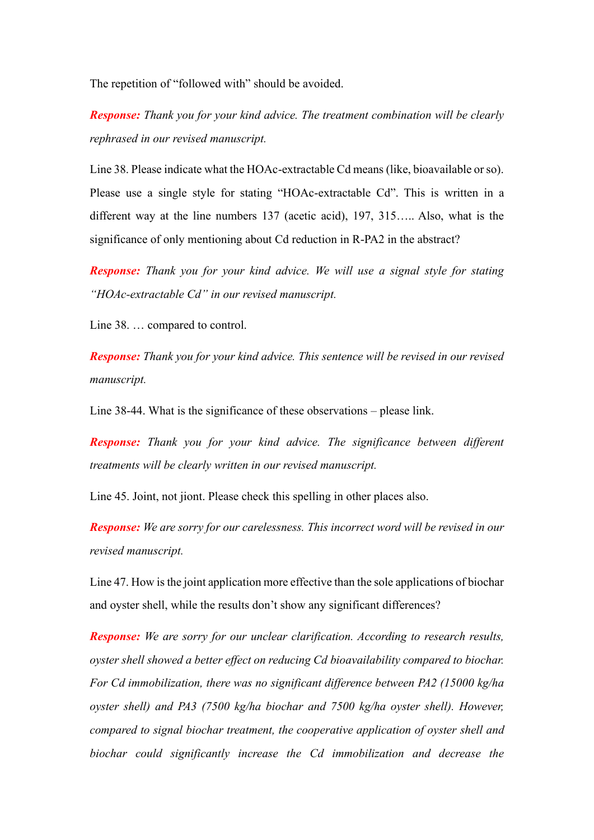The repetition of "followed with" should be avoided.

*Response: Thank you for your kind advice. The treatment combination will be clearly rephrased in our revised manuscript.* 

Line 38. Please indicate what the HOAc-extractable Cd means (like, bioavailable or so). Please use a single style for stating "HOAc-extractable Cd". This is written in a different way at the line numbers 137 (acetic acid), 197, 315….. Also, what is the significance of only mentioning about Cd reduction in R-PA2 in the abstract?

*Response: Thank you for your kind advice. We will use a signal style for stating "HOAc-extractable Cd" in our revised manuscript.*

Line 38. … compared to control.

*Response: Thank you for your kind advice. This sentence will be revised in our revised manuscript.*

Line 38-44. What is the significance of these observations – please link.

*Response: Thank you for your kind advice. The significance between different treatments will be clearly written in our revised manuscript.*

Line 45. Joint, not jiont. Please check this spelling in other places also.

*Response: We are sorry for our carelessness. This incorrect word will be revised in our revised manuscript.*

Line 47. How is the joint application more effective than the sole applications of biochar and oyster shell, while the results don't show any significant differences?

*Response: We are sorry for our unclear clarification. According to research results, oyster shell showed a better effect on reducing Cd bioavailability compared to biochar. For Cd immobilization, there was no significant difference between PA2 (15000 kg/ha oyster shell) and PA3 (7500 kg/ha biochar and 7500 kg/ha oyster shell). However, compared to signal biochar treatment, the cooperative application of oyster shell and biochar could significantly increase the Cd immobilization and decrease the*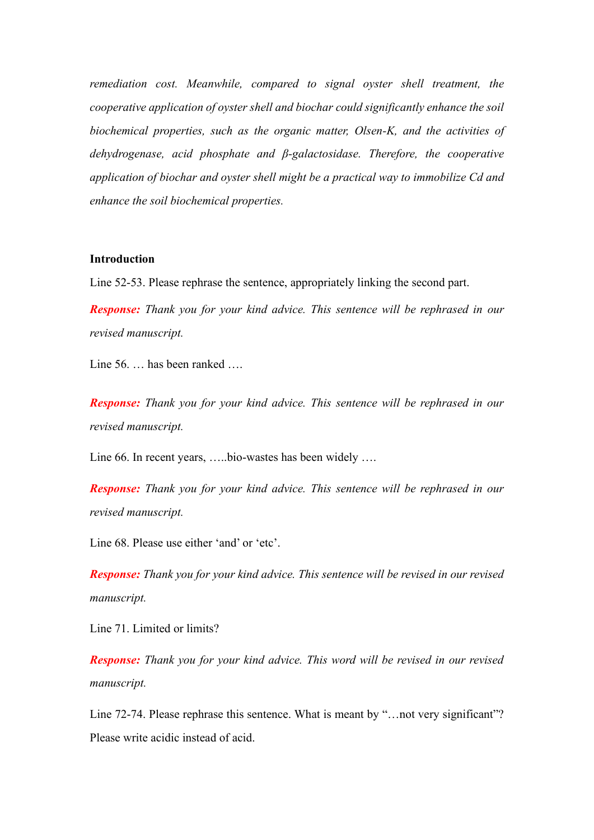*remediation cost. Meanwhile, compared to signal oyster shell treatment, the cooperative application of oyster shell and biochar could significantly enhance the soil biochemical properties, such as the organic matter, Olsen-K, and the activities of dehydrogenase, acid phosphate and β-galactosidase. Therefore, the cooperative application of biochar and oyster shell might be a practical way to immobilize Cd and enhance the soil biochemical properties.*

## **Introduction**

Line 52-53. Please rephrase the sentence, appropriately linking the second part.

*Response: Thank you for your kind advice. This sentence will be rephrased in our revised manuscript.* 

Line 56. ... has been ranked ....

*Response: Thank you for your kind advice. This sentence will be rephrased in our revised manuscript.* 

Line 66. In recent years, …..bio-wastes has been widely ….

*Response: Thank you for your kind advice. This sentence will be rephrased in our revised manuscript.* 

Line 68. Please use either 'and' or 'etc'.

*Response: Thank you for your kind advice. This sentence will be revised in our revised manuscript.* 

Line 71. Limited or limits?

*Response: Thank you for your kind advice. This word will be revised in our revised manuscript.*

Line 72-74. Please rephrase this sentence. What is meant by "…not very significant"? Please write acidic instead of acid.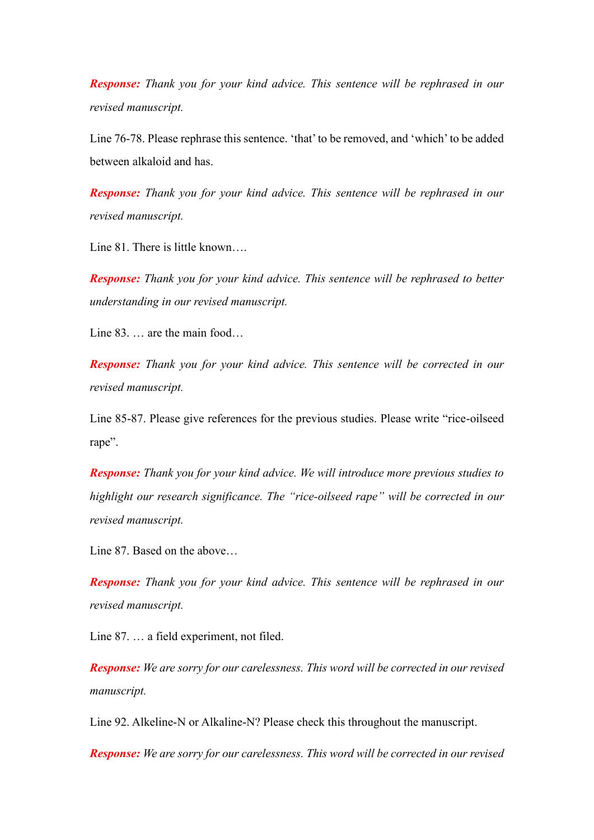*Response: Thank you for your kind advice. This sentence will be rephrased in our revised manuscript.* 

Line 76-78. Please rephrase this sentence. 'that' to be removed, and 'which' to be added between alkaloid and has.

*Response: Thank you for your kind advice. This sentence will be rephrased in our revised manuscript.* 

Line 81. There is little known….

*Response: Thank you for your kind advice. This sentence will be rephrased to better understanding in our revised manuscript.* 

Line 83. … are the main food…

*Response: Thank you for your kind advice. This sentence will be corrected in our revised manuscript.*

Line 85-87. Please give references for the previous studies. Please write "rice-oilseed rape".

*Response: Thank you for your kind advice. We will introduce more previous studies to highlight our research significance. The "rice-oilseed rape" will be corrected in our revised manuscript.*

Line 87. Based on the above…

*Response: Thank you for your kind advice. This sentence will be rephrased in our revised manuscript.* 

Line 87. … a field experiment, not filed.

*Response: We are sorry for our carelessness. This word will be corrected in our revised manuscript.* 

Line 92. Alkeline-N or Alkaline-N? Please check this throughout the manuscript.

*Response: We are sorry for our carelessness. This word will be corrected in our revised*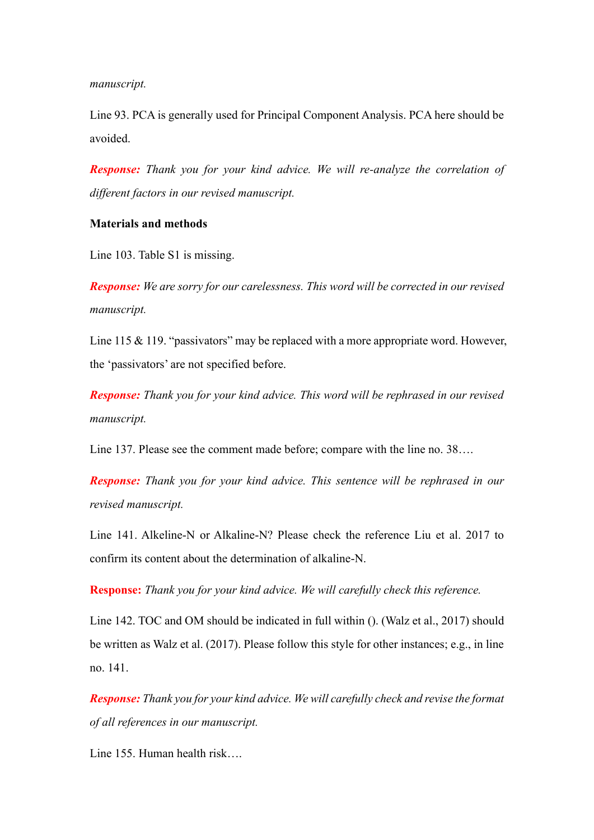*manuscript.* 

Line 93. PCA is generally used for Principal Component Analysis. PCA here should be avoided.

*Response: Thank you for your kind advice. We will re-analyze the correlation of different factors in our revised manuscript.*

### **Materials and methods**

Line 103. Table S1 is missing.

*Response: We are sorry for our carelessness. This word will be corrected in our revised manuscript.* 

Line 115 & 119. "passivators" may be replaced with a more appropriate word. However, the 'passivators' are not specified before.

*Response: Thank you for your kind advice. This word will be rephrased in our revised manuscript.* 

Line 137. Please see the comment made before; compare with the line no. 38….

*Response: Thank you for your kind advice. This sentence will be rephrased in our revised manuscript.* 

Line 141. Alkeline-N or Alkaline-N? Please check the reference Liu et al. 2017 to confirm its content about the determination of alkaline-N.

**Response:** *Thank you for your kind advice. We will carefully check this reference.*

Line 142. TOC and OM should be indicated in full within (). (Walz et al., 2017) should be written as Walz et al. (2017). Please follow this style for other instances; e.g., in line no. 141.

*Response: Thank you for your kind advice. We will carefully check and revise the format of all references in our manuscript.*

Line 155. Human health risk….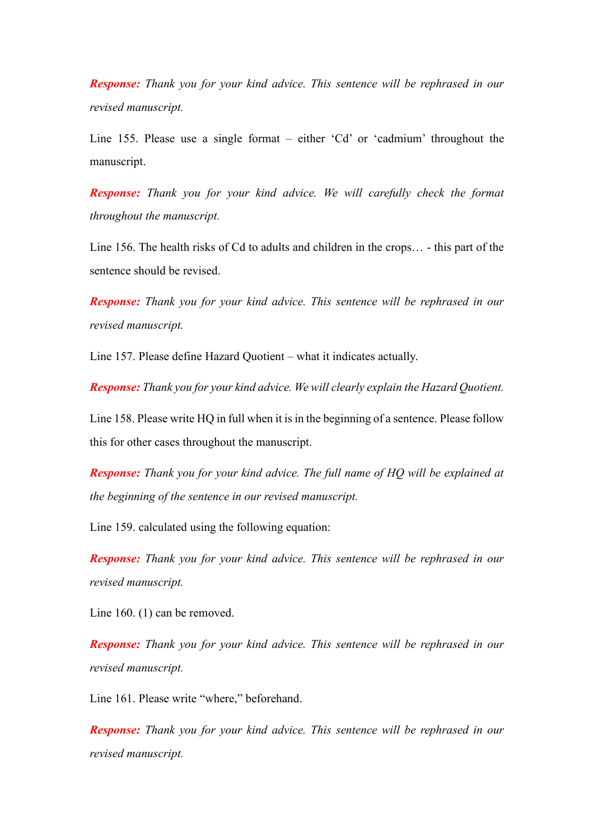*Response: Thank you for your kind advice. This sentence will be rephrased in our revised manuscript.* 

Line 155. Please use a single format – either 'Cd' or 'cadmium' throughout the manuscript.

*Response: Thank you for your kind advice. We will carefully check the format throughout the manuscript.*

Line 156. The health risks of Cd to adults and children in the crops… - this part of the sentence should be revised.

*Response: Thank you for your kind advice. This sentence will be rephrased in our revised manuscript.* 

Line 157. Please define Hazard Quotient – what it indicates actually.

*Response: Thank you for your kind advice. We will clearly explain the Hazard Quotient.*

Line 158. Please write HQ in full when it is in the beginning of a sentence. Please follow this for other cases throughout the manuscript.

*Response: Thank you for your kind advice. The full name of HQ will be explained at the beginning of the sentence in our revised manuscript.*

Line 159. calculated using the following equation:

*Response: Thank you for your kind advice. This sentence will be rephrased in our revised manuscript.* 

Line 160. (1) can be removed.

*Response: Thank you for your kind advice. This sentence will be rephrased in our revised manuscript.* 

Line 161. Please write "where," beforehand.

*Response: Thank you for your kind advice. This sentence will be rephrased in our revised manuscript.*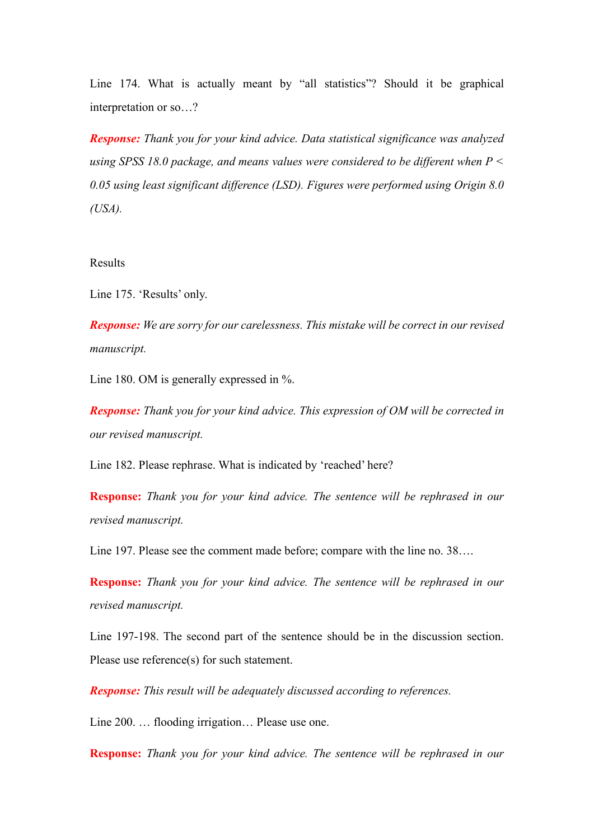Line 174. What is actually meant by "all statistics"? Should it be graphical interpretation or so…?

*Response: Thank you for your kind advice. Data statistical significance was analyzed using SPSS 18.0 package, and means values were considered to be different when P < 0.05 using least significant difference (LSD). Figures were performed using Origin 8.0 (USA).* 

#### Results

Line 175. 'Results' only.

*Response: We are sorry for our carelessness. This mistake will be correct in our revised manuscript.*

Line 180. OM is generally expressed in %.

*Response: Thank you for your kind advice. This expression of OM will be corrected in our revised manuscript.* 

Line 182. Please rephrase. What is indicated by 'reached' here?

**Response:** *Thank you for your kind advice. The sentence will be rephrased in our revised manuscript.* 

Line 197. Please see the comment made before; compare with the line no. 38….

**Response:** *Thank you for your kind advice. The sentence will be rephrased in our revised manuscript.* 

Line 197-198. The second part of the sentence should be in the discussion section. Please use reference(s) for such statement.

*Response: This result will be adequately discussed according to references.*

Line 200. … flooding irrigation… Please use one.

**Response:** *Thank you for your kind advice. The sentence will be rephrased in our*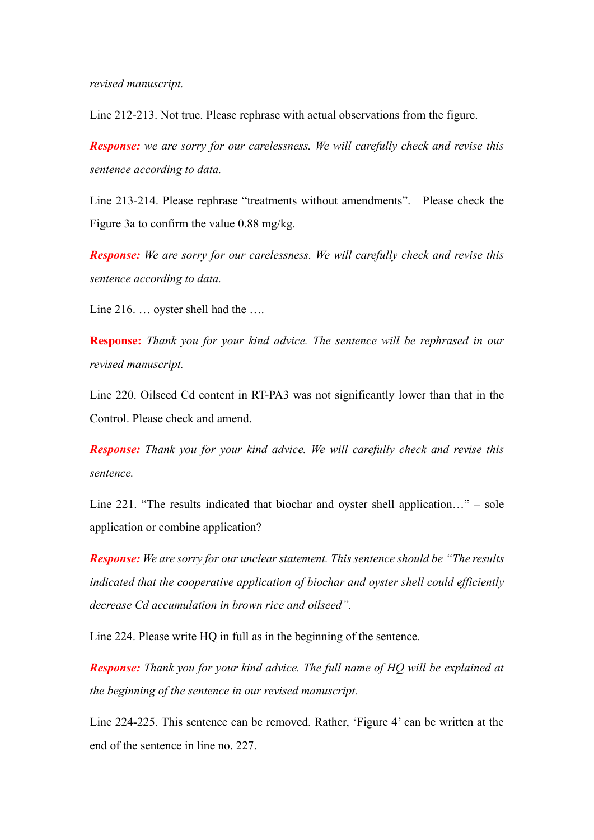*revised manuscript.* 

Line 212-213. Not true. Please rephrase with actual observations from the figure.

*Response: we are sorry for our carelessness. We will carefully check and revise this sentence according to data.*

Line 213-214. Please rephrase "treatments without amendments". Please check the Figure 3a to confirm the value 0.88 mg/kg.

*Response: We are sorry for our carelessness. We will carefully check and revise this sentence according to data.*

Line 216. … oyster shell had the ….

**Response:** *Thank you for your kind advice. The sentence will be rephrased in our revised manuscript.* 

Line 220. Oilseed Cd content in RT-PA3 was not significantly lower than that in the Control. Please check and amend.

*Response: Thank you for your kind advice. We will carefully check and revise this sentence.*

Line 221. "The results indicated that biochar and oyster shell application…" – sole application or combine application?

*Response: We are sorry for our unclear statement. This sentence should be "The results indicated that the cooperative application of biochar and oyster shell could efficiently decrease Cd accumulation in brown rice and oilseed".*

Line 224. Please write HQ in full as in the beginning of the sentence.

*Response: Thank you for your kind advice. The full name of HQ will be explained at the beginning of the sentence in our revised manuscript.*

Line 224-225. This sentence can be removed. Rather, 'Figure 4' can be written at the end of the sentence in line no. 227.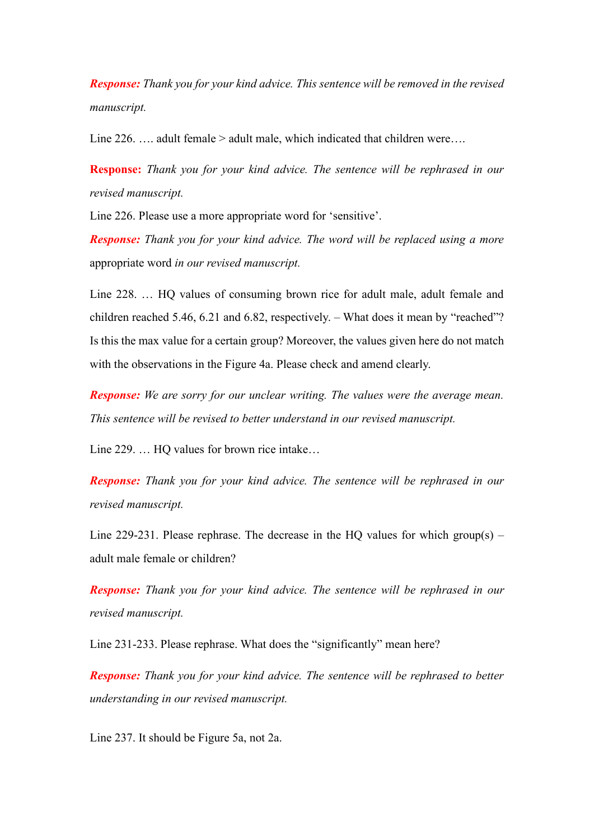*Response: Thank you for your kind advice. This sentence will be removed in the revised manuscript.*

Line 226. …. adult female > adult male, which indicated that children were….

**Response:** *Thank you for your kind advice. The sentence will be rephrased in our revised manuscript.* 

Line 226. Please use a more appropriate word for 'sensitive'.

*Response: Thank you for your kind advice. The word will be replaced using a more*  appropriate word *in our revised manuscript.* 

Line 228. … HQ values of consuming brown rice for adult male, adult female and children reached 5.46, 6.21 and 6.82, respectively. – What does it mean by "reached"? Is this the max value for a certain group? Moreover, the values given here do not match with the observations in the Figure 4a. Please check and amend clearly.

*Response: We are sorry for our unclear writing. The values were the average mean. This sentence will be revised to better understand in our revised manuscript.*

Line 229. … HQ values for brown rice intake…

*Response: Thank you for your kind advice. The sentence will be rephrased in our revised manuscript.* 

Line 229-231. Please rephrase. The decrease in the HQ values for which group(s) – adult male female or children?

*Response: Thank you for your kind advice. The sentence will be rephrased in our revised manuscript.* 

Line 231-233. Please rephrase. What does the "significantly" mean here?

*Response: Thank you for your kind advice. The sentence will be rephrased to better understanding in our revised manuscript.* 

Line 237. It should be Figure 5a, not 2a.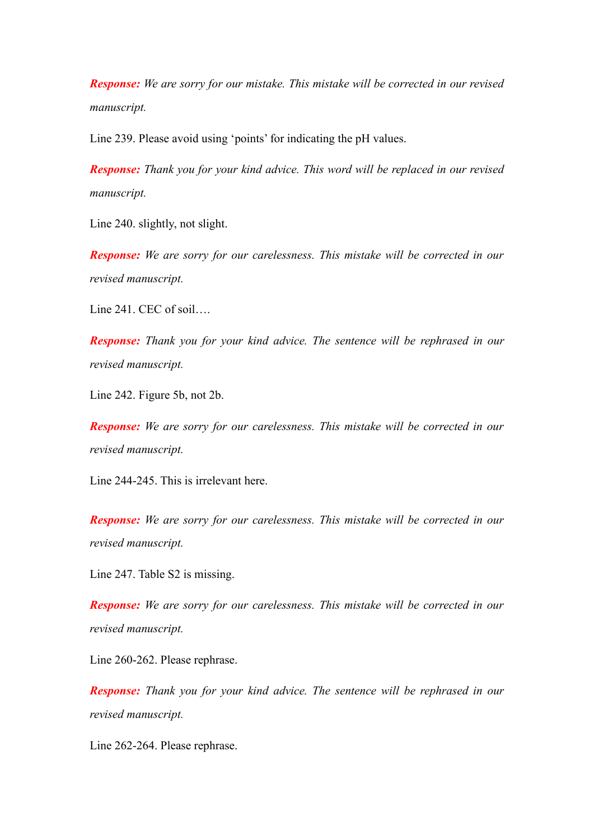*Response: We are sorry for our mistake. This mistake will be corrected in our revised manuscript.* 

Line 239. Please avoid using 'points' for indicating the pH values.

*Response: Thank you for your kind advice. This word will be replaced in our revised manuscript.* 

Line 240. slightly, not slight.

*Response: We are sorry for our carelessness. This mistake will be corrected in our revised manuscript.*

Line 241. CEC of soil….

*Response: Thank you for your kind advice. The sentence will be rephrased in our revised manuscript.* 

Line 242. Figure 5b, not 2b.

*Response: We are sorry for our carelessness. This mistake will be corrected in our revised manuscript.*

Line 244-245. This is irrelevant here.

*Response: We are sorry for our carelessness. This mistake will be corrected in our revised manuscript.*

Line 247. Table S2 is missing.

*Response: We are sorry for our carelessness. This mistake will be corrected in our revised manuscript.*

Line 260-262. Please rephrase.

*Response: Thank you for your kind advice. The sentence will be rephrased in our revised manuscript.* 

Line 262-264. Please rephrase.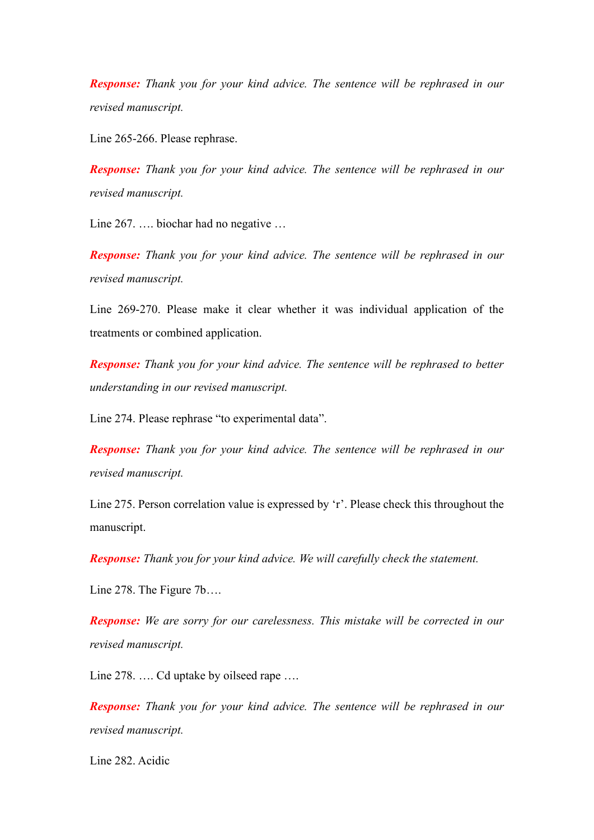*Response: Thank you for your kind advice. The sentence will be rephrased in our revised manuscript.* 

Line 265-266. Please rephrase.

*Response: Thank you for your kind advice. The sentence will be rephrased in our revised manuscript.* 

Line 267. .... biochar had no negative ...

*Response: Thank you for your kind advice. The sentence will be rephrased in our revised manuscript.* 

Line 269-270. Please make it clear whether it was individual application of the treatments or combined application.

*Response: Thank you for your kind advice. The sentence will be rephrased to better understanding in our revised manuscript.*

Line 274. Please rephrase "to experimental data".

*Response: Thank you for your kind advice. The sentence will be rephrased in our revised manuscript.* 

Line 275. Person correlation value is expressed by 'r'. Please check this throughout the manuscript.

*Response: Thank you for your kind advice. We will carefully check the statement.*

Line 278. The Figure 7b….

*Response: We are sorry for our carelessness. This mistake will be corrected in our revised manuscript.*

Line 278. .... Cd uptake by oilseed rape ....

*Response: Thank you for your kind advice. The sentence will be rephrased in our revised manuscript.* 

Line 282. Acidic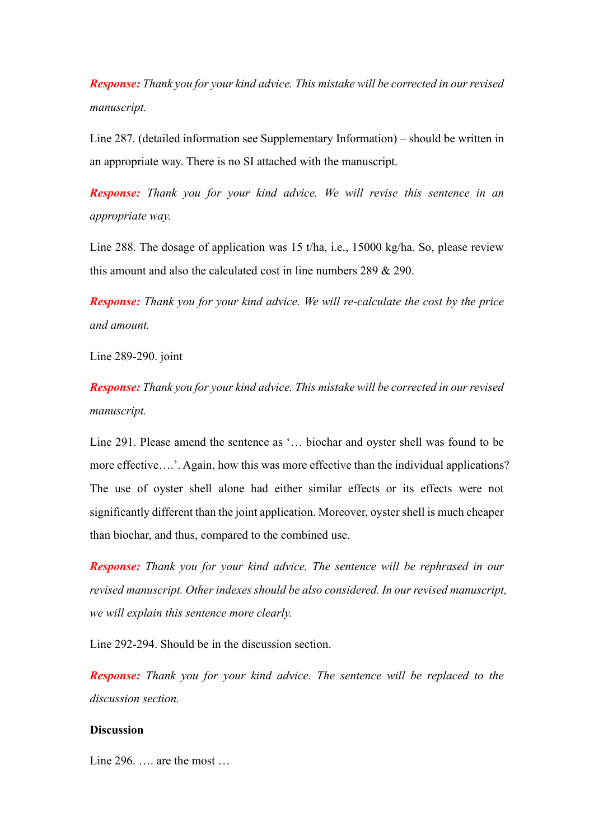*Response: Thank you for your kind advice. This mistake will be corrected in our revised manuscript.*

Line 287. (detailed information see Supplementary Information) – should be written in an appropriate way. There is no SI attached with the manuscript.

*Response: Thank you for your kind advice. We will revise this sentence in an appropriate way.*

Line 288. The dosage of application was 15 t/ha, i.e., 15000 kg/ha. So, please review this amount and also the calculated cost in line numbers 289 & 290.

*Response: Thank you for your kind advice. We will re-calculate the cost by the price and amount.*

Line 289-290. joint

*Response: Thank you for your kind advice. This mistake will be corrected in our revised manuscript.*

Line 291. Please amend the sentence as '… biochar and oyster shell was found to be more effective….'. Again, how this was more effective than the individual applications? The use of oyster shell alone had either similar effects or its effects were not significantly different than the joint application. Moreover, oyster shell is much cheaper than biochar, and thus, compared to the combined use.

*Response: Thank you for your kind advice. The sentence will be rephrased in our revised manuscript. Other indexes should be also considered. In our revised manuscript, we will explain this sentence more clearly.* 

Line 292-294. Should be in the discussion section.

*Response: Thank you for your kind advice. The sentence will be replaced to the discussion section.*

## **Discussion**

Line 296. …. are the most …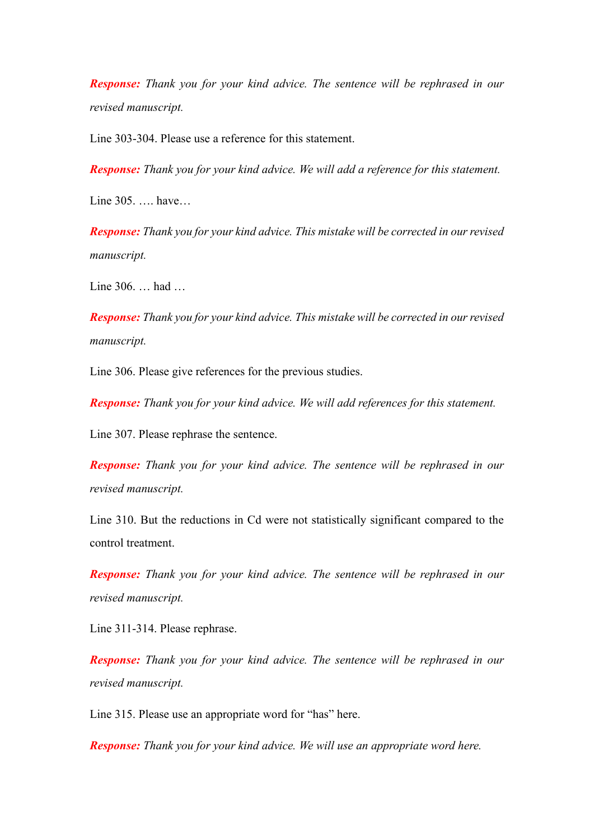*Response: Thank you for your kind advice. The sentence will be rephrased in our revised manuscript.* 

Line 303-304. Please use a reference for this statement.

*Response: Thank you for your kind advice. We will add a reference for this statement.*

Line 305. …. have…

*Response: Thank you for your kind advice. This mistake will be corrected in our revised manuscript.* 

Line 306. … had …

*Response: Thank you for your kind advice. This mistake will be corrected in our revised manuscript.* 

Line 306. Please give references for the previous studies.

*Response: Thank you for your kind advice. We will add references for this statement.*

Line 307. Please rephrase the sentence.

*Response: Thank you for your kind advice. The sentence will be rephrased in our revised manuscript.* 

Line 310. But the reductions in Cd were not statistically significant compared to the control treatment.

*Response: Thank you for your kind advice. The sentence will be rephrased in our revised manuscript.* 

Line 311-314. Please rephrase.

*Response: Thank you for your kind advice. The sentence will be rephrased in our revised manuscript.* 

Line 315. Please use an appropriate word for "has" here.

*Response: Thank you for your kind advice. We will use an appropriate word here.*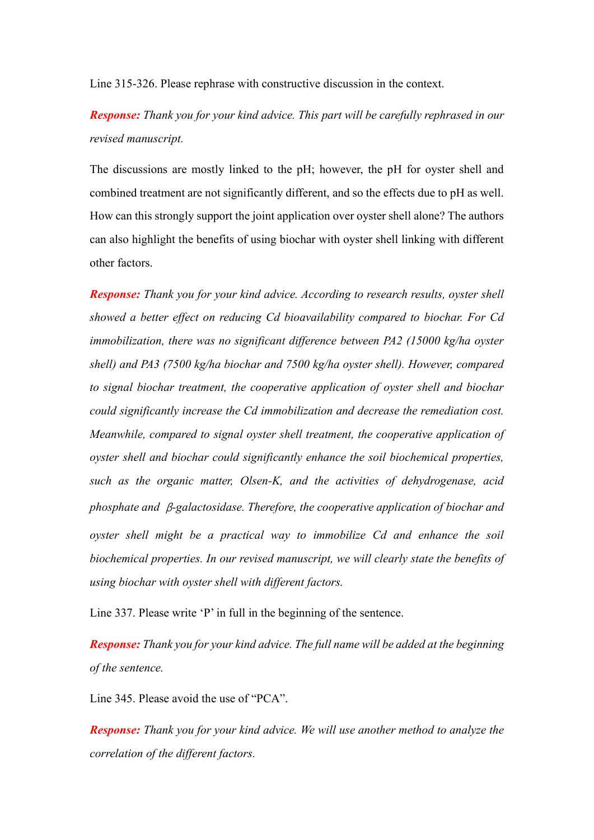Line 315-326. Please rephrase with constructive discussion in the context.

*Response: Thank you for your kind advice. This part will be carefully rephrased in our revised manuscript.* 

The discussions are mostly linked to the pH; however, the pH for oyster shell and combined treatment are not significantly different, and so the effects due to pH as well. How can this strongly support the joint application over oyster shell alone? The authors can also highlight the benefits of using biochar with oyster shell linking with different other factors.

*Response: Thank you for your kind advice. According to research results, oyster shell showed a better effect on reducing Cd bioavailability compared to biochar. For Cd immobilization, there was no significant difference between PA2 (15000 kg/ha oyster shell) and PA3 (7500 kg/ha biochar and 7500 kg/ha oyster shell). However, compared to signal biochar treatment, the cooperative application of oyster shell and biochar could significantly increase the Cd immobilization and decrease the remediation cost. Meanwhile, compared to signal oyster shell treatment, the cooperative application of oyster shell and biochar could significantly enhance the soil biochemical properties, such as the organic matter, Olsen-K, and the activities of dehydrogenase, acid phosphate and* β*-galactosidase. Therefore, the cooperative application of biochar and oyster shell might be a practical way to immobilize Cd and enhance the soil biochemical properties. In our revised manuscript, we will clearly state the benefits of using biochar with oyster shell with different factors.*

Line 337. Please write 'P' in full in the beginning of the sentence.

*Response: Thank you for your kind advice. The full name will be added at the beginning of the sentence.*

Line 345. Please avoid the use of "PCA".

*Response: Thank you for your kind advice. We will use another method to analyze the correlation of the different factors.*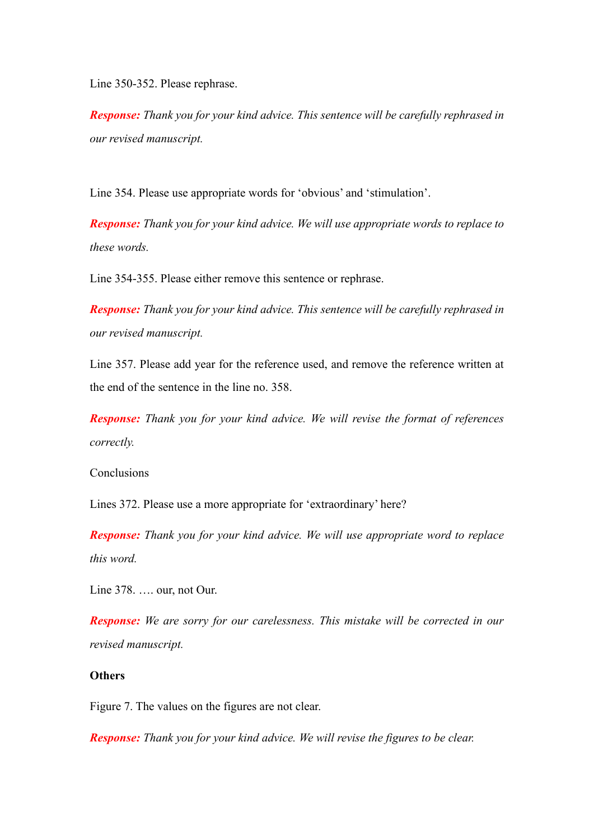Line 350-352. Please rephrase.

*Response: Thank you for your kind advice. This sentence will be carefully rephrased in our revised manuscript.* 

Line 354. Please use appropriate words for 'obvious' and 'stimulation'.

*Response: Thank you for your kind advice. We will use appropriate words to replace to these words.*

Line 354-355. Please either remove this sentence or rephrase.

*Response: Thank you for your kind advice. This sentence will be carefully rephrased in our revised manuscript.* 

Line 357. Please add year for the reference used, and remove the reference written at the end of the sentence in the line no. 358.

*Response: Thank you for your kind advice. We will revise the format of references correctly.*

Conclusions

Lines 372. Please use a more appropriate for 'extraordinary' here?

*Response: Thank you for your kind advice. We will use appropriate word to replace this word.*

Line 378. …. our, not Our.

*Response: We are sorry for our carelessness. This mistake will be corrected in our revised manuscript.*

## **Others**

Figure 7. The values on the figures are not clear.

*Response: Thank you for your kind advice. We will revise the figures to be clear.*